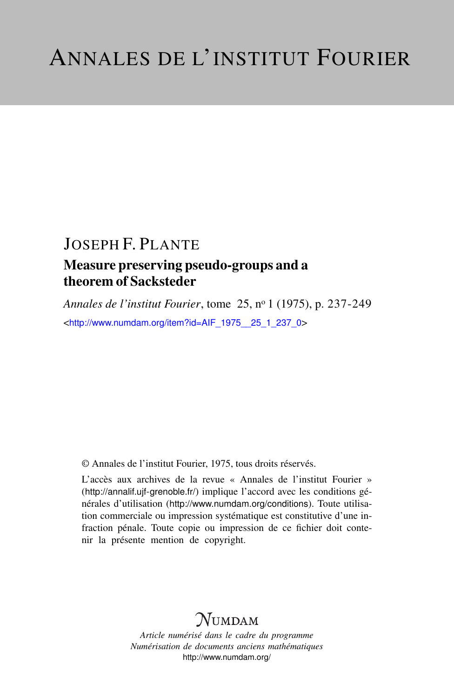# JOSEPH F. PLANTE

## Measure preserving pseudo-groups and a theorem of Sacksteder

*Annales de l'institut Fourier*, tome 25, n<sup>o</sup> 1 (1975), p. 237-249 <[http://www.numdam.org/item?id=AIF\\_1975\\_\\_25\\_1\\_237\\_0](http://www.numdam.org/item?id=AIF_1975__25_1_237_0)>

© Annales de l'institut Fourier, 1975, tous droits réservés.

L'accès aux archives de la revue « Annales de l'institut Fourier » (<http://annalif.ujf-grenoble.fr/>) implique l'accord avec les conditions générales d'utilisation (<http://www.numdam.org/conditions>). Toute utilisation commerciale ou impression systématique est constitutive d'une infraction pénale. Toute copie ou impression de ce fichier doit contenir la présente mention de copyright.

# NUMDAM

*Article numérisé dans le cadre du programme Numérisation de documents anciens mathématiques* <http://www.numdam.org/>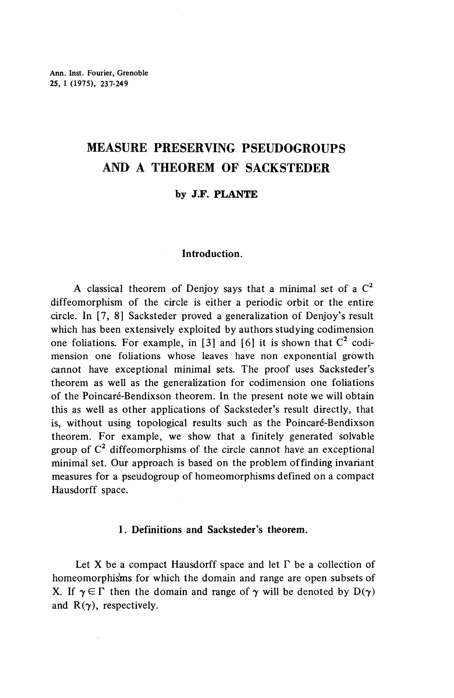# **MEASURE PRESERVING PSEUDOGROUPS AND A THEOREM OF SACKSTEDER**

### **by J.F. PLANTE**

### **Introduction.**

A classical theorem of Denjoy says that a minimal set of a  $C<sup>2</sup>$ diffeomorphism of the circle is either a periodic orbit or the entire circle. In [7, 8] Sacksteder proved a generalization of Denjoy's result which has been extensively exploited by authors studying codimension one foliations. For example, in [3] and [6] it is shown that  $C^2$  codimension one foliations whose leaves have non exponential growth cannot have exceptional minimal sets. The proof uses Sacksteder's theorem as well as the generalization for codimension one foliations of the Poincaré-Bendixson theorem. In the present note we will obtain this as well as other applications of Sacksteder's result directly, that is, without using topological results such as the Poincaré-Bendixson theorem. For example, we show that a finitely generated solvable group of  $C^2$  diffeomorphisms of the circle cannot have an exceptional minimal set. Our approach is based on the problem of finding invariant measures for a pseudogroup of homeomorphisms defined on a compact Hausdorff space.

### **1. Definitions and Sacksteder's theorem.**

Let X be a compact Hausdorff space and let  $\Gamma$  be a collection of homeomorphisms for which the domain and range are open subsets of X. If  $\gamma \in \Gamma$  then the domain and range of  $\gamma$  will be denoted by  $D(\gamma)$ and  $R(\gamma)$ , respectively.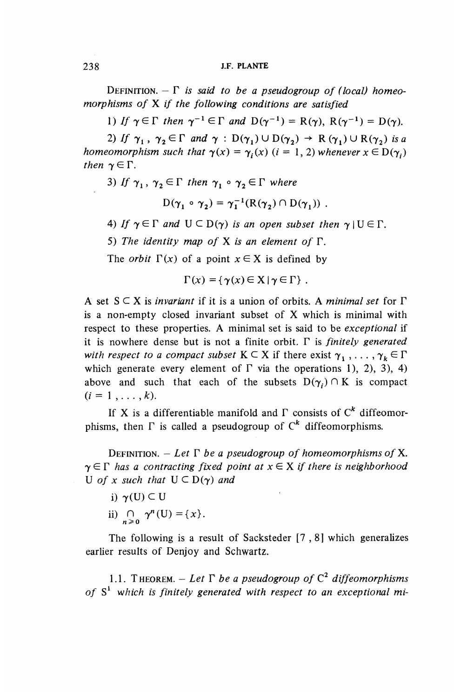DEFINITION.  $- \Gamma$  is said to be a pseudogroup of (local) homeo*morphisms of* X *if the following conditions are satisfied*

1) If  $\gamma \in \Gamma$  then  $\gamma^{-1} \in \Gamma$  and  $D(\gamma^{-1}) = R(\gamma)$ ,  $R(\gamma^{-1}) = D(\gamma)$ .

2) If  $\gamma_1$ ,  $\gamma_2 \in \Gamma$  and  $\gamma : D(\gamma_1) \cup D(\gamma_2) \rightarrow R(\gamma_1) \cup R(\gamma_2)$  is a *homeomorphism such that*  $\gamma(x) = \gamma_i(x)$  (*i* = 1, 2) *whenever*  $x \in D(\gamma_i)$ then  $\gamma \in \Gamma$ .

3) If  $\gamma_1, \gamma_2 \in \Gamma$  then  $\gamma_1 \circ \gamma_2 \in \Gamma$  where

$$
D(\gamma_1 \circ \gamma_2) = \gamma_1^{-1}(R(\gamma_2) \cap D(\gamma_1)) \ .
$$

- 4) If  $\gamma \in \Gamma$  and  $U \subset D(\gamma)$  is an open subset then  $\gamma \mid U \in \Gamma$ .
- 5) *The identity map of* X *is an element of* F.

The *orbit*  $\Gamma(x)$  of a point  $x \in X$  is defined by

$$
\Gamma(x) = \{ \gamma(x) \in X \mid \gamma \in \Gamma \} .
$$

A set S C X is *invariant* if it is a union of orbits. A *minimal set for* F is a non-empty closed invariant subset of X which is minimal with respect to these properties. A minimal set is said to be *exceptional* if it is nowhere dense but is not a finite orbit. F is *finitely generated with respect to a compact subset*  $K \subset X$  if there exist  $\gamma_1, \ldots, \gamma_k \in \Gamma$ which generate every element of  $\Gamma$  via the operations 1), 2), 3), 4) above and such that each of the subsets  $D(\gamma_i) \cap K$  is compact  $(i = 1, \ldots, k).$ 

If X is a differentiable manifold and  $\Gamma$  consists of  $C^k$  diffeomorphisms, then  $\Gamma$  is called a pseudogroup of  $\Gamma^k$  diffeomorphisms.

DEFINITION.  $-$  Let  $\Gamma$  be a pseudogroup of homeomorphisms of X.  $\gamma \in \Gamma$  has a contracting fixed point at  $x \in X$  if there is neighborhood U of x such that  $U \subset D(\gamma)$  and

- i)  $\gamma(U) \subseteq U$
- ii)  $\bigcap_{n\geq 0} \gamma^n(U)=\{x\}.$

The following is a result of Sacksteder [7,8] which generalizes earlier results of Denjoy and Schwartz.

1.1. THEOREM.  $-$  Let  $\Gamma$  be a pseudogroup of  $C^2$  diffeomorphisms of  $S<sup>1</sup>$  which is finitely generated with respect to an exceptional mi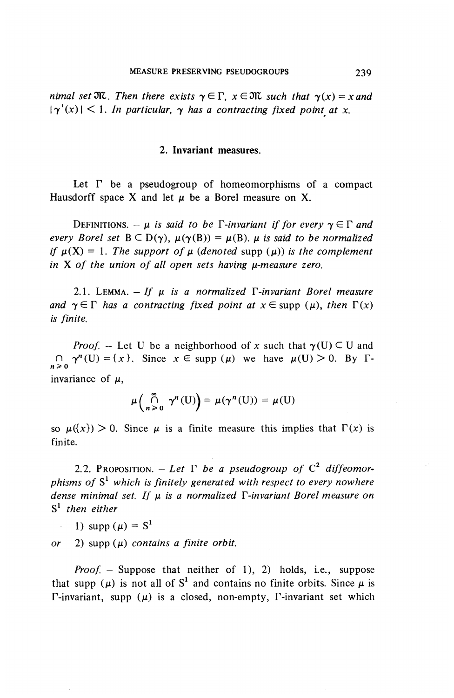*nimal set*  $\mathfrak{M}$ . Then there exists  $\gamma \in \Gamma$ ,  $x \in \mathfrak{M}$  *such that*  $\gamma(x) = x$  and  $|\gamma'(x)| < 1$ . In particular,  $\gamma$  has a contracting fixed point at x.

### **2. Invariant measures.**

Let  $\Gamma$  be a pseudogroup of homeomorphisms of a compact Hausdorff space X and let  $\mu$  be a Borel measure on X.

DEFINITIONS.  $-\mu$  is said to be  $\Gamma$ -invariant if for every  $\gamma \in \Gamma$  and *every Borel set*  $B \subseteq D(\gamma)$ ,  $\mu(\gamma(B)) = \mu(B)$ .  $\mu$  *is said to be normalized if*  $\mu(X) = 1$ . The support of  $\mu$  (denoted supp  $(\mu)$ ) is the complement in X of the union of all open sets having  $\mu$ -measure zero.

2.1. LEMMA.  $-If \mu$  is a normalized  $\Gamma$ -invariant Borel measure *and*  $\gamma \in \Gamma$  *has a contracting fixed point at*  $x \in \text{supp } (\mu)$ *, then*  $\Gamma(x)$ *is finite.*

*Proof.* – Let U be a neighborhood of x such that  $\gamma(U) \subset U$  and  $\bigcap_{n \geq 0} \gamma^n(U) = \{x\}$ . Since  $x \in \text{supp } (\mu)$  we have  $\mu(U) > 0$ . By  $\Gamma$ invariance of  $\mu$ ,

$$
\mu\left(\bigcap_{n>0}^{\infty}\gamma^n(\mathbf{U})\right)=\mu(\gamma^n(\mathbf{U}))=\mu(\mathbf{U})
$$

so  $\mu({x}) > 0$ . Since  $\mu$  is a finite measure this implies that  $\Gamma(x)$  is finite.

2.2. Proposition. – Let  $\Gamma$  be a pseudogroup of  $\mathbb{C}^2$  diffeomor*phisms of* S<sup>1</sup>  *which is finitely generated with respect to every nowhere dense minimal set. If* ju *is a normalized r-invariant Borel measure on* S 1  *then either*

1) supp ( $\mu$ ) = S<sup>1</sup>

*or* 2) supp  $(\mu)$  *contains a finite orbit.* 

*Proof.* – Suppose that neither of 1), 2) holds, i.e., suppose that supp ( $\mu$ ) is not all of S<sup>1</sup> and contains no finite orbits. Since  $\mu$  is  $\Gamma$ -invariant, supp ( $\mu$ ) is a closed, non-empty,  $\Gamma$ -invariant set which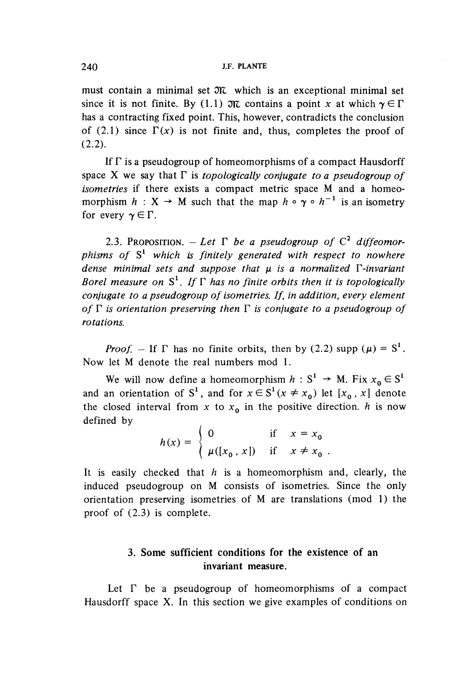must contain a minimal set  $\mathfrak{M}$  which is an exceptional minimal set since it is not finite. By (1.1)  $\mathfrak{M}$  contains a point *x* at which  $\gamma \in \Gamma$ **has a contracting fixed point. This, however, contradicts the conclusion** of (2.1) since  $\Gamma(x)$  is not finite and, thus, completes the proof of (2.2).

If  $\Gamma$  is a pseudogroup of homeomorphisms of a compact Hausdorff space X we say that  $\Gamma$  is *topologically conjugate to a pseudogroup of isometrics* if there exists a compact metric space M and a homeomorphism  $h: X \rightarrow M$  such that the map  $h \circ \gamma \circ h^{-1}$  is an isometry for every  $\gamma \in \Gamma$ .

2.3. Proposition.  $-$  *Let*  $\Gamma$  *be a pseudogroup of*  $C^2$  *diffeomorphisms of* S<sup>1</sup>  *which is finitely generated with respect to nowhere* dense minimal sets and suppose that  $\mu$  is a normalized  $\Gamma$ -invariant Borel measure on  $S^1$ . If  $\Gamma$  has no finite orbits then it is topologically *conjugate to a pseudogroup of isometrics. If, in addition, every element* of  $\Gamma$  is orientation preserving then  $\Gamma$  is conjugate to a pseudogroup of *rotations,*

*Proof.* – If  $\Gamma$  has no finite orbits, then by (2.2) supp ( $\mu$ ) = S<sup>1</sup>. Now let M denote the real numbers mod 1.

We will now define a homeomorphism  $h: S^1 \to M$ . Fix  $x_0 \in S^1$ and an orientation of S<sup>1</sup>, and for  $x \in S^1$  ( $x \neq x_0$ ) let [ $x_0$ ,  $x$ ] denote the closed interval from x to  $x_0$  in the positive direction, h is now defined by

> $h(x) = \begin{cases} 0 & \text{if } x = x_0 \end{cases}$  $\mu([x_0, x])$  if  $x \neq x_0$ .

It is easily checked that *h* is a homeomorphism and, clearly, the induced pseudogroup on M consists of isometries. Since the only orientation preserving isometries of M are translations (mod 1) the proof of (2.3) is complete.

## **3. Some sufficient conditions for the existence of an invariant measure.**

Let  $\Gamma$  be a pseudogroup of homeomorphisms of a compact Hausdorff space X. In this section we give examples of conditions on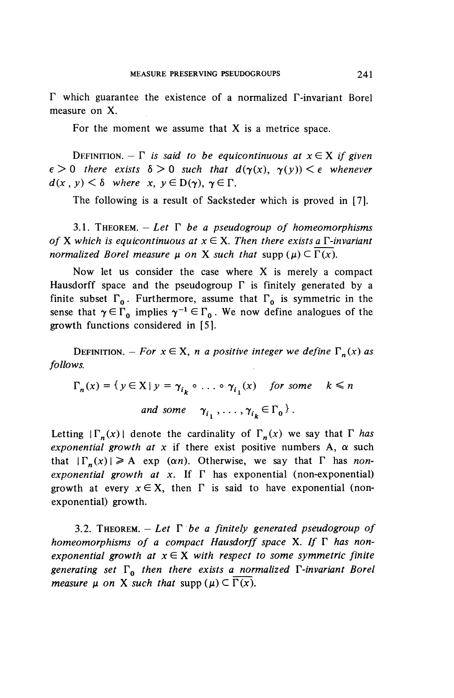$\Gamma$  which guarantee the existence of a normalized  $\Gamma$ -invariant Borel measure on X.

For the moment we assume that  $X$  is a metrice space.

DEFINITION.  $-\Gamma$  is said to be equicontinuous at  $x \in X$  if given  $\epsilon > 0$  there exists  $\delta > 0$  such that  $d(\gamma(x), \gamma(y)) < \epsilon$  whenever  $d(x, y) < \delta$  where x,  $y \in D(\gamma)$ ,  $\gamma \in \Gamma$ .

The following is a result of Sacksteder which is proved in [7].

3.1. THEOREM.  $-$  *Let*  $\Gamma$  *be a pseudogroup of homeomorphisms of* **X** which is equicontinuous at  $x \in X$ . Then there exists a  $\Gamma$ -invariant *normalized Borel measure*  $\mu$  *on* X *such that* supp  $(\mu) \subset \Gamma(x)$ .

Now let us consider the case where X is merely a compact Hausdorff space and the pseudogroup  $\Gamma$  is finitely generated by a finite subset  $\Gamma_0$ . Furthermore, assume that  $\Gamma_0$  is symmetric in the sense that  $\gamma \in \Gamma_0$  implies  $\gamma^{-1} \in \Gamma_0$ . We now define analogues of the growth functions considered in [5].

DEFINITION. – *For*  $x \in X$ , *n a* positive integer we define  $\Gamma_n(x)$  *as follows.*

$$
\Gamma_n(x) = \{ y \in X \mid y = \gamma_{i_k} \circ \dots \circ \gamma_{i_1}(x) \quad \text{for some} \quad k \le n
$$
  
and some  $\gamma_{i_1}, \dots, \gamma_{i_k} \in \Gamma_0 \}$ .

Letting  $|\Gamma_n(x)|$  denote the cardinality of  $\Gamma_n(x)$  we say that  $\Gamma$  has *exponential growth at x* if there exist positive numbers A,  $\alpha$  such that  $|\Gamma_n(x)| \geq A$  exp (an). Otherwise, we say that  $\Gamma$  has *nonexponential growth at x.* If  $\Gamma$  has exponential (non-exponential) growth at every  $x \in X$ , then  $\Gamma$  is said to have exponential (nonexponential) growth.

3.2. THEOREM.  $-$  Let  $\Gamma$  *be a finitely generated pseudogroup of* homeomorphisms of a compact Hausdorff space X. If  $\Gamma$  has non*exponential growth at*  $x \in X$  *with respect to some symmetric finite* generating set  $\Gamma_0$  then there exists a normalized  $\Gamma$ -invariant Borel *measure*  $\mu$  *on* X *such that* supp  $(\mu) \subset \overline{\Gamma(x)}$ .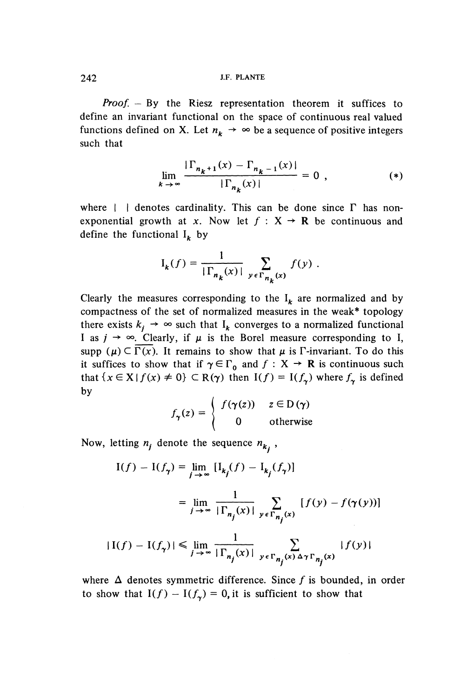*Proof. -* By the Riesz representation theorem it suffices to define an invariant functional on the space of continuous real valued define an invariant functional on the space of continuous real valued functions defined on X. Let  $n_k \rightarrow \infty$  be a sequence of positive integers such that

$$
\lim_{k \to \infty} \frac{|\Gamma_{n_k+1}(x) - \Gamma_{n_k-1}(x)|}{|\Gamma_{n_k}(x)|} = 0 , \qquad (*)
$$

where  $\parallel$  | denotes cardinality. This can be done since  $\Gamma$  has nonexponential growth at x. Now let  $f : X \rightarrow \mathbb{R}$  be continuous and define the functional  $I_k$  by

$$
I_k(f) = \frac{1}{|\Gamma_{n_k}(x)|} \sum_{y \in \Gamma_{n_k}(x)} f(y) .
$$

Clearly the measures corresponding to the  $I_k$  are normalized and by compactness of the set of normalized measures in the weak\* topology there exists  $k_i \rightarrow \infty$  such that  $I_k$  converges to a normalized functional I as  $j \rightarrow \infty$ . Clearly, if  $\mu$  is the Borel measure corresponding to I, supp  $(\mu) \subset \overline{\Gamma(x)}$ . It remains to show that  $\mu$  is F-invariant. To do this suffices to show that if  $\gamma \in \Gamma_0$  and  $f : X \to \mathbb{R}$  is continuous such that it suffices to show that if  $\gamma \in \Gamma_0$  and  $f: X \to \mathbb{R}$  is continuous such that  $\{x \in X | f(x) \neq 0\} \subset R(\gamma)$  then  $I(f) = I(f_\gamma)$  where  $f_\gamma$  is defined<br>by

$$
f_{\gamma}(z) = \begin{cases} f(\gamma(z)) & z \in D(\gamma) \\ 0 & \text{otherwise} \end{cases}
$$

Now, letting  $n_i$  denote the sequence  $n_k$ ,

$$
I(f) - I(f_{\gamma}) = \lim_{j \to \infty} [I_{k_j}(f) - I_{k_j}(f_{\gamma})]
$$
  

$$
= \lim_{j \to \infty} \frac{1}{|\Gamma_{n_j}(x)|} \sum_{y \in \Gamma_{n_j}(x)} [f(y) - f(\gamma(y))]
$$
  

$$
|I(f) - I(f_{\gamma})| \le \lim_{j \to \infty} \frac{1}{|\Gamma_{n_j}(x)|} \sum_{y \in \Gamma_{n_j}(x) \Delta \gamma \Gamma_{n_j}(x)} |f(y)|
$$

where  $\Delta$  denotes symmetric difference. Since f is bounded, in order where  $\Delta$  denotes symmetric difference. Since f is bound<br>to show that  $I(f) - I(f) = 0$  it is sufficient to show the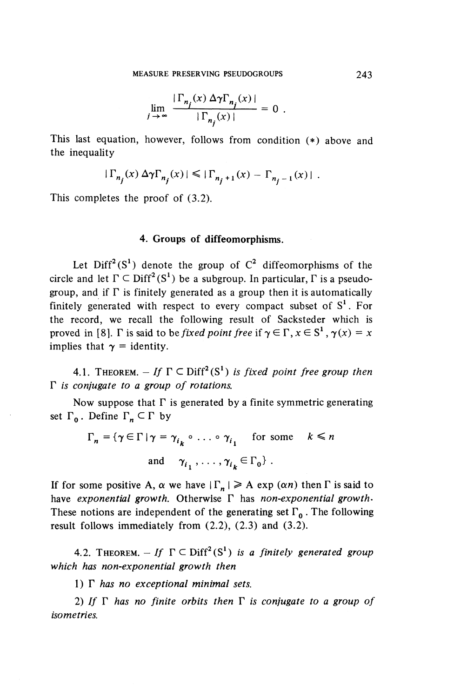$$
\lim_{j \to \infty} \frac{\left| \Gamma_{n_j}(x) \Delta \gamma \Gamma_{n_j}(x) \right|}{\left| \Gamma_{n_j}(x) \right|} = 0.
$$

This last equation, however, follows from condition (\*) above and the inequality

ty  

$$
|\Gamma_{n_j}(x) \Delta \gamma \Gamma_{n_j}(x)| \leq |\Gamma_{n_j+1}(x) - \Gamma_{n_j-1}(x)|.
$$

This completes the proof of (3.2).

#### **4. Groups of diffeomorphisms.**

Let  $\text{Diff}^2(S^1)$  denote the group of  $C^2$  diffeomorphisms of the circle and let  $\Gamma \subset \text{Diff}^2(S^1)$  be a subgroup. In particular,  $\Gamma$  is a pseudogroup, and if  $\Gamma$  is finitely generated as a group then it is automatically finitely generated with respect to every compact subset of  $S<sup>1</sup>$ . For the record, we recall the following result of Sacksteder which is proved in [8]. F is said to be *fixed point free* if  $\gamma \in \Gamma$ ,  $x \in S^1$ ,  $\gamma(x) = x$ implies that  $\gamma$  = identity.

4.1. THEOREM.  $-If \Gamma \subset \text{Diff}^2(S^1)$  is fixed point free group then r *is conjugate to a group of rotations.*

Now suppose that  $\Gamma$  is generated by a finite symmetric generating set  $\Gamma_0$ . Define  $\Gamma_n \subset \Gamma$  by

$$
\Gamma_n = \{ \gamma \in \Gamma \mid \gamma = \gamma_{i_k} \circ \dots \circ \gamma_{i_1} \quad \text{for some} \quad k \le n
$$
  
and 
$$
\gamma_{i_1}, \dots, \gamma_{i_k} \in \Gamma_0 \}.
$$

If for some positive A,  $\alpha$  we have  $|\Gamma_n| \geq A$  exp  $(\alpha n)$  then  $\Gamma$  is said to have *exponential growth.* Otherwise F has *non-exponential growth'* These notions are independent of the generating set  $\Gamma_0$ . The following result follows immediately from (2.2), (2.3) and (3.2).

4.2. THEOREM.  $-If \Gamma \subset \text{Diff}^{2}(S^{1})$  is a finitely generated group *which has non-exponential growth then*

1)  $\Gamma$  has no exceptional minimal sets.

2) If  $\Gamma$  has no finite orbits then  $\Gamma$  is conjugate to a group of *isometrics.*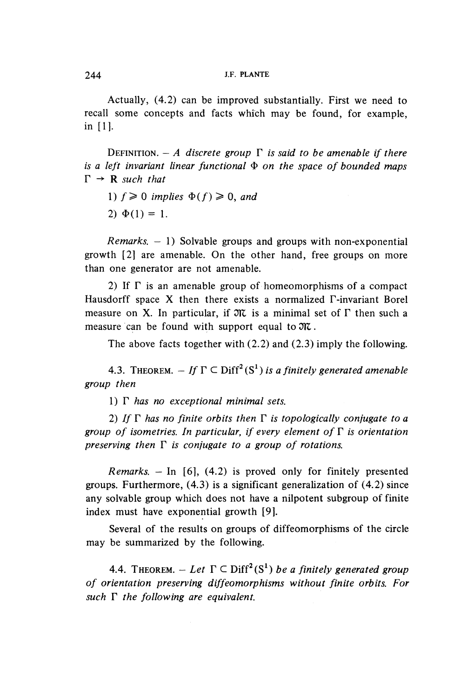Actually, (4.2) can be improved substantially. First we need to recall some concepts and facts which may be found, for example  $\sum_{i=1}^{\infty}$ 

DEFINITION.  $-A$  discrete group  $\Gamma$  is said to be amenable if there *is a left invariant linear functional*  $\Phi$  *on the space of bounded map*<br> $\Gamma \rightarrow \mathbf{P}$  such that  $\Gamma \rightarrow \mathbf{R}$  *such that*<br>1)  $f \ge 0$  *implies*  $\Phi(f) \ge 0$ *, and* 

- 
- $2)$   $\Phi(1) = 1$ .

*Remarks. -* 1) Solvable groups and groups with non-exponential growth [2] are amenable. On the other hand, free groups on more than one generator are not amenable.

2) If  $\Gamma$  is an amenable group of homeomorphisms of a compact Hausdorff space X then there exists a normalized F-invariant Borel measure on X. In particular, if  $\mathfrak{M}$  is a minimal set of  $\Gamma$  then such a measure can be found with support equal to  $\mathfrak{M}$ .

The above facts together with (2.2) and (2.3) imply the following.

4.3. THEOREM.  $-If \Gamma \subseteq \text{Diff}^2(S^1)$  is a finitely generated amenab *group then*

1)  $\Gamma$  has no exceptional minimal sets.

2) If  $\Gamma$  has no finite orbits then  $\Gamma$  is topologically conjugate to a *group of isometries. In particular, if every element of*  $\Gamma$  *is orientation preserving then*  $\Gamma$  *is conjugate to a group of rotations.* 

*Remarks. -* In [6], (4.2) is proved only for finitely presented groups. Furthermore, (4.3) is a significant generalization of (4.2) since any solvable group which does not have a nilpotent subgroup of finite index must have exponential growth [9].

Several of the results on groups of diffeomorphisms of the circle may be summarized by the following.

4.4. THEOREM.  $-Let \Gamma \subseteq \text{Diff}^2(S^1)$  be a finitely generated group *of orientation preserving diffeomorphisms without finite orbits. For of orientation preserving diffeom*<br>angle F the following are equivalent.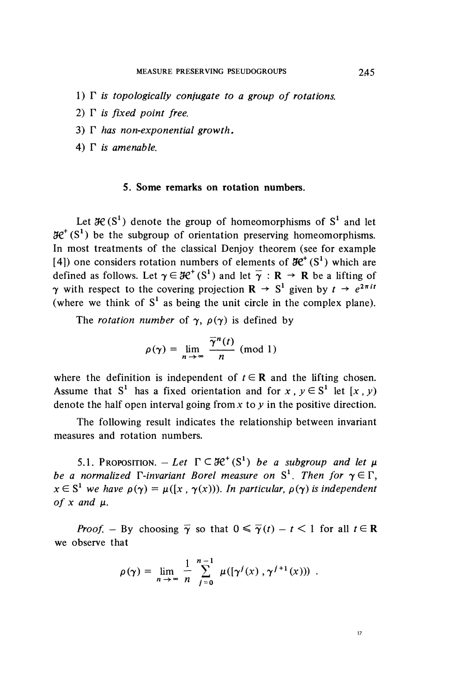- 1)  $\Gamma$  *is topologically conjugate to a group of rotations.*
- 2)  $\Gamma$  *is fixed point free.*
- 3)  $\Gamma$  has non-exponential growth.
- 4)  $\Gamma$  *is amenable.*

#### **5. Some remarks on rotation numbers.**

Let  $\mathcal{H}(S^1)$  denote the group of homeomorphisms of  $S^1$  and let  $\mathcal{H}^{\dagger}$  (S<sup>1</sup>) be the subgroup of orientation preserving homeomorphisms. In most treatments of the classical Denjoy theorem (see for example [4]) one considers rotation numbers of elements of  $\mathcal{H}^+(S^1)$  which are defined as follows. Let  $\gamma \in \mathcal{H}^+(S^1)$  and let  $\overline{\gamma}: \mathbb{R} \to \mathbb{R}$  be a lifting of  $\gamma$  with respect to the covering projection  $R \rightarrow S^1$  given by  $t \rightarrow e^{2\pi i t}$ (where we think of  $S<sup>1</sup>$  as being the unit circle in the complex plane).

The *rotation number* of  $\gamma$ ,  $\rho(\gamma)$  is defined by

$$
\rho(\gamma) = \lim_{n \to \infty} \frac{\overline{\gamma}^n(t)}{n} \text{ (mod 1)}
$$

where the definition is independent of  $t \in \mathbb{R}$  and the lifting chosen. Assume that  $S^1$  has a fixed orientation and for x,  $y \in S^1$  let  $[x, y)$ denote the half open interval going from *x* to *y* in the positive direction.

The following result indicates the relationship between invariant measures and rotation numbers.

5.1. Proposition.  $-Let \Gamma \subset \mathcal{H}^+(S^1)$  be a subgroup and let  $\mu$ *be a normalized*  $\Gamma$ -invariant Borel measure on  $S^1$ . Then for  $\gamma \in \Gamma$ ,  $x \in S^1$  we have  $\rho(\gamma) = \mu([x, \gamma(x))$ . In particular,  $\rho(\gamma)$  is independent *of*  $x$  *and*  $\mu$ .

*Proof.* – By choosing  $\overline{\gamma}$  so that  $0 \le \overline{\gamma}(t) - t < 1$  for all  $t \in \mathbb{R}$ we observe that

$$
\rho(\gamma) = \lim_{n \to \infty} \frac{1}{n} \sum_{j=0}^{n-1} \mu([\gamma^j(x), \gamma^{j+1}(x)) ) .
$$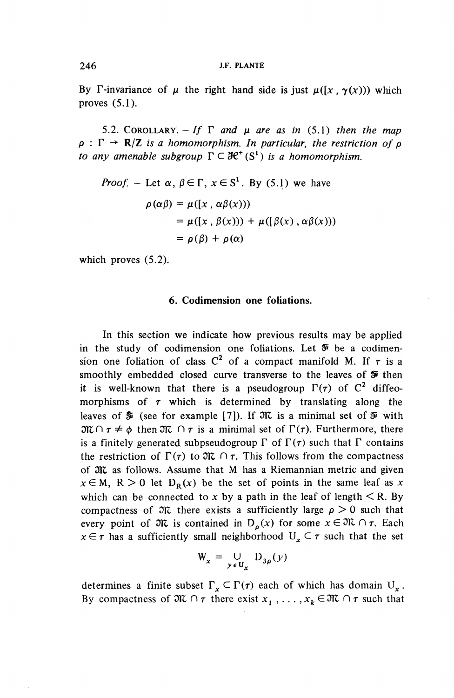By  $\Gamma$ -invariance of  $\mu$  the right hand side is just  $\mu([x, \gamma(x)))$  which proves  $(5.1)$ .

5.2. COROLLARY.  $-If \Gamma$  and  $\mu$  are as in (5.1) then the map  $\rho$  :  $\Gamma \rightarrow \mathbb{R}/\mathbb{Z}$  is a homomorphism. In particular, the restriction of  $\rho$ *to any amenable subgroup*  $\Gamma \subset \mathcal{H}^+(S^1)$  *is a homomorphism.* 

*Proof.* - Let 
$$
\alpha
$$
,  $\beta \in \Gamma$ ,  $x \in S^1$ . By (5.1) we have  
\n
$$
\rho(\alpha \beta) = \mu([x, \alpha \beta(x)))
$$
\n
$$
= \mu([x, \beta(x))) + \mu([\beta(x), \alpha \beta(x)))
$$
\n
$$
= \rho(\beta) + \rho(\alpha)
$$

which proves (5.2).

#### **6. Codimension one foliations.**

In this section we indicate how previous results may be applied in the study of codimension one foliations. Let *S<sup>1</sup>* be a codimension one foliation of class  $C^2$  of a compact manifold M. If  $\tau$  is a smoothly embedded closed curve transverse to the leaves of *9* then it is well-known that there is a pseudogroup  $\Gamma(\tau)$  of  $C^2$  diffeomorphisms of  $\tau$  which is determined by translating along the leaves of  $\tilde{\mathcal{F}}$  (see for example [7]). If  $\mathfrak{N}$  is a minimal set of  $\tilde{\mathcal{F}}$  with  $\mathfrak{M} \cap \tau \neq \phi$  then  $\mathfrak{M} \cap \tau$  is a minimal set of  $\Gamma(\tau)$ . Furthermore, there is a finitely generated subpseudogroup  $\Gamma$  of  $\Gamma(\tau)$  such that  $\Gamma$  contains the restriction of  $\Gamma(\tau)$  to  $\mathfrak{M} \cap \tau$ . This follows from the compactness of  $m$  as follows. Assume that M has a Riemannian metric and given  $x \in M$ ,  $R > 0$  let  $D_R(x)$  be the set of points in the same leaf as x which can be connected to x by a path in the leaf of length  $\leq R$ . By compactness of  $\mathfrak{M}$  there exists a sufficiently large  $\rho > 0$  such that every point of  $\mathfrak{M}$  is contained in  $D_{\rho}(x)$  for some  $x \in \mathfrak{M} \cap \tau$ . Each every point of  $\partial \mathcal{X}$  is contained in  $D_{\rho}(x)$  for some  $x \in \partial C \cap \tau$ . Each  $x \in \tau$  has a sufficiently small neighborhood  $U_x \subset \tau$  such that the set  $W_x = \bigcup_{y \in U_x} D_{3\rho}(y)$ 

$$
W_x = \bigcup_{y \in U_x} D_{3\rho}(y)
$$

determines a finite subset  $\Gamma_x \subset \Gamma(r)$  each of which has domain  $U_x$ . By compactness of  $\mathfrak{M} \cap \tau$  there exist  $x_1, \ldots, x_k \in \mathfrak{M} \cap \tau$  such that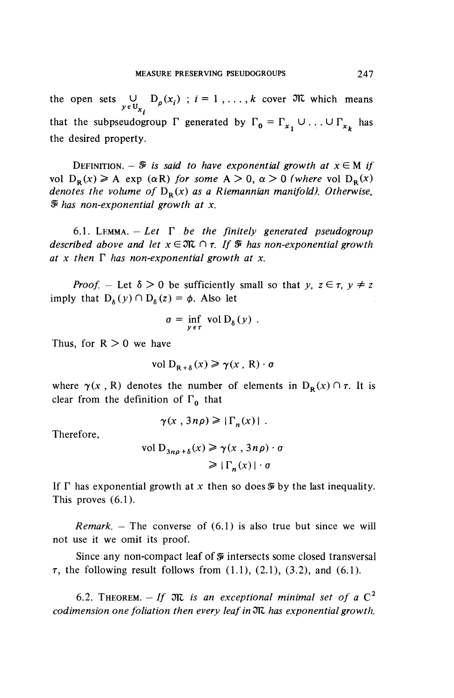the open sets  $\bigcup_{i=1}^{n} D_{\rho}(x_i)$ ;  $i = 1, ..., k$  cover  $\mathfrak{M}$  which means  $y \in U_{x_i}$ that the subpseudogroup  $\Gamma$  generated by  $\Gamma_0 = \Gamma_{x_1} \cup ... \cup \Gamma_{x_k}$  has the desired property.

DEFINITION.  $\mathfrak{F}$  is said to have exponential growth at  $x \in M$  if vol  $D_{\mathbf{p}}(x) \ge A$  exp ( $\alpha \in \mathbb{R}$ *)* for some  $A > 0$ ,  $\alpha > 0$  (where vol  $D_{\mathbf{p}}(x)$ *denotes the volume of*  $D_R(x)$  as a Riemannian manifold). Otherwise, *S has non-exponential growth at x.*

6.1. LEMMA.  $-$  Let  $\Gamma$  be the finitely generated pseudogroup *described above and let*  $x \in \mathfrak{M} \cap \tau$ . If  $\mathcal{F}$  has non-exponential growth at x then  $\Gamma$  has non-exponential growth at x.

*Proof.* – Let  $\delta > 0$  be sufficiently small so that y,  $z \in \tau$ ,  $y \neq z$ imply that  $D_{\delta}(y) \cap D_{\delta}(z) = \phi$ . Also let

$$
\sigma = \inf_{y \in \tau} \text{ vol } D_{\delta}(y) .
$$

Thus, for  $R > 0$  we have

$$
\text{vol } \mathcal{D}_{\mathbf{R} + \delta}(x) \geqslant \gamma(x, \, \mathbf{R}) \cdot \sigma
$$

where  $\gamma(x, R)$  denotes the number of elements in  $D_R(x) \cap \tau$ . It is clear from the definition of  $\Gamma_0$  that

$$
\gamma(x, 3n\rho) \geq |\Gamma_n(x)|.
$$

Therefore,

$$
\text{vol } \mathcal{D}_{3n\rho + \delta}(x) \ge \gamma(x, 3n\rho) \cdot \sigma
$$
\n
$$
\ge |\Gamma_n(x)| \cdot \sigma
$$

If  $\Gamma$  has exponential growth at x then so does  $\mathcal F$  by the last inequality. This proves (6.1).

*Remark. —* The converse of (6.1) is also true but since we will not use it we omit its proof.

Since any non-compact leaf of *Si* intersects some closed transversal  $\tau$ , the following result follows from  $(1.1)$ ,  $(2.1)$ ,  $(3.2)$ , and  $(6.1)$ .

6.2. THEOREM.  $-If$   $\mathfrak{M}$  is an exceptional minimal set of a  $C^2$ *codimension one foliation then every leaf in*  $N$  has exponential growth.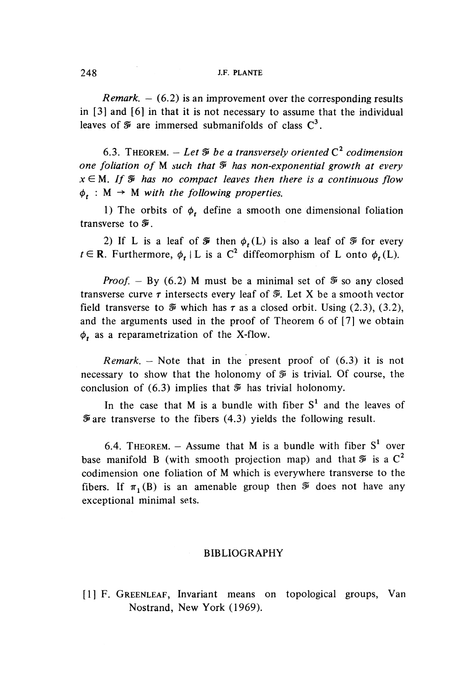#### *-* PLANTE

*Remark.*  $- (6.2)$  is an improvement over the corresponding results in [3] and [6] in that it is not necessary to assume that the individual leaves of  $\tilde{\mathcal{Y}}$  are immersed submanifolds of class  $C^3$ .

6.3. THEOREM.  $-$  Let  $\mathcal{F}$  be a transversely oriented  $C^2$  codimension *one foliation of* M *such that ^ has non-exponential growth at every*  $x \in M$ . If  $\mathcal{F}$  has no compact leaves then there is a continuous flow  $\phi_{\star}$  : M  $\rightarrow$  M with the following properties.

1) The orbits of  $\phi_t$ , define a smooth one dimensional foliation transverse to  $\tilde{\mathcal{F}}$ .

2) If L is a leaf of  $\mathcal F$  then  $\phi_r(L)$  is also a leaf of  $\mathcal F$  for every  $t \in \mathbb{R}$ . Furthermore,  $\phi_t \mid L$  is a C<sup>2</sup> diffeomorphism of L onto  $\phi_t(L)$ .

*Proof.* – By (6.2) M must be a minimal set of  $\mathcal{F}$  so any closed transverse curve  $\tau$  intersects every leaf of  $\mathcal{F}$ . Let X be a smooth vector field transverse to  $\mathcal V$  which has  $\tau$  as a closed orbit. Using (2.3), (3.2), and the arguments used in the proof of Theorem 6 of [7] we obtain  $\phi_t$  as a reparametrization of the X-flow.

*Remark. —* Note that in the present proof of (6.3) it is not necessary to show that the holonomy of  $\mathcal I$  is trivial. Of course, the conclusion of  $(6.3)$  implies that  $\mathcal V$  has trivial holonomy.

In the case that M is a bundle with fiber  $S<sup>1</sup>$  and the leaves of *S* are transverse to the fibers (4.3) yields the following result.

6.4. THEOREM.  $-$  Assume that M is a bundle with fiber  $S<sup>1</sup>$  over base manifold B (with smooth projection map) and that  $\mathcal V$  is a C<sup>2</sup> codimension one foliation of M which is everywhere transverse to the fibers. If  $\pi_1(B)$  is an amenable group then  $\mathcal{F}$  does not have any exceptional minimal sets.

#### BIBLIOGRAPHY

[1] F. GREENLEAF, Invariant means on topological groups, Van Nostrand, New York (1969).

248 *Lp*